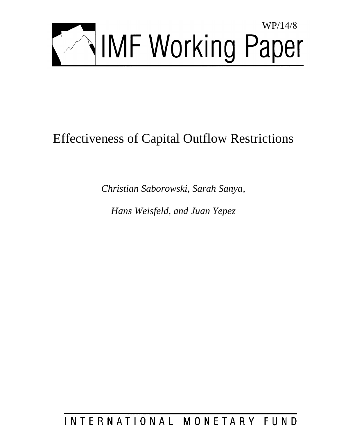

# Effectiveness of Capital Outflow Restrictions

*Christian Saborowski, Sarah Sanya,* 

*Hans Weisfeld, and Juan Yepez* 

INTERNATIONAL MONETARY FUND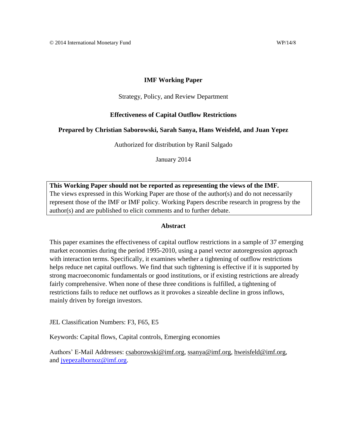## **IMF Working Paper**

## Strategy, Policy, and Review Department

## **Effectiveness of Capital Outflow Restrictions**

## **Prepared by Christian Saborowski, Sarah Sanya, Hans Weisfeld, and Juan Yepez**

Authorized for distribution by Ranil Salgado

January 2014

**This Working Paper should not be reported as representing the views of the IMF.** The views expressed in this Working Paper are those of the author(s) and do not necessarily represent those of the IMF or IMF policy. Working Papers describe research in progress by the author(s) and are published to elicit comments and to further debate.

## **Abstract**

This paper examines the effectiveness of capital outflow restrictions in a sample of 37 emerging market economies during the period 1995-2010, using a panel vector autoregression approach with interaction terms. Specifically, it examines whether a tightening of outflow restrictions helps reduce net capital outflows. We find that such tightening is effective if it is supported by strong macroeconomic fundamentals or good institutions, or if existing restrictions are already fairly comprehensive. When none of these three conditions is fulfilled, a tightening of restrictions fails to reduce net outflows as it provokes a sizeable decline in gross inflows, mainly driven by foreign investors.

JEL Classification Numbers: F3, F65, E5

Keywords: Capital flows, Capital controls, Emerging economies

Authors' E-Mail Addresses: [csaborowski@imf.org,](mailto:csaborowski@imf.org) [ssanya@imf.org,](mailto:ssanya@imf.org) [hweisfeld@imf.org,](mailto:hweisfeld@imf.org) and [jyepezalbornoz@imf.org.](mailto:jyepezalbornoz@imf.org)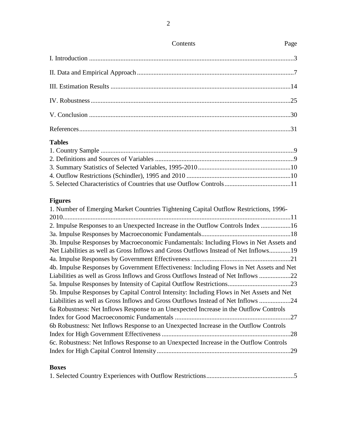# **Tables**

# **Figures**

# **Boxes**

|--|--|

Contents Page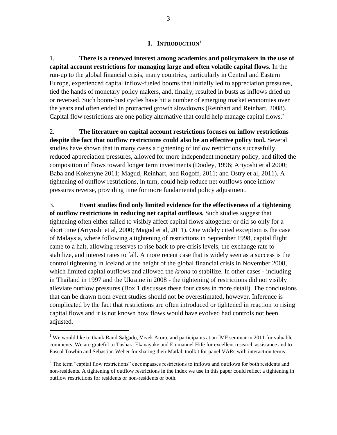## **I. INTRODUCTION<sup>1</sup>**

1. **There is a renewed interest among academics and policymakers in the use of capital account restrictions for managing large and often volatile capital flows.** In the run-up to the global financial crisis, many countries, particularly in Central and Eastern Europe, experienced capital inflow-fueled booms that initially led to appreciation pressures, tied the hands of monetary policy makers, and, finally, resulted in busts as inflows dried up or reversed. Such boom-bust cycles have hit a number of emerging market economies over the years and often ended in protracted growth slowdowns (Reinhart and Reinhart, 2008). Capital flow restrictions are one policy alternative that could help manage capital flows. 2

2. **The literature on capital account restrictions focuses on inflow restrictions despite the fact that outflow restrictions could also be an effective policy tool.** Several studies have shown that in many cases a tightening of inflow restrictions successfully reduced appreciation pressures, allowed for more independent monetary policy, and tilted the composition of flows toward longer term investments (Dooley, 1996; Ariyoshi et al 2000; Baba and Kokenyne 2011; Magud, Reinhart, and Rogoff, 2011; and Ostry et al, 2011). A tightening of outflow restrictions, in turn, could help reduce net outflows once inflow pressures reverse, providing time for more fundamental policy adjustment.

3. **Event studies find only limited evidence for the effectiveness of a tightening of outflow restrictions in reducing net capital outflows.** Such studies suggest that tightening often either failed to visibly affect capital flows altogether or did so only for a short time (Ariyoshi et al, 2000; Magud et al, 2011). One widely cited exception is the case of Malaysia, where following a tightening of restrictions in September 1998, capital flight came to a halt, allowing reserves to rise back to pre-crisis levels, the exchange rate to stabilize, and interest rates to fall. A more recent case that is widely seen as a success is the control tightening in Iceland at the height of the global financial crisis in November 2008, which limited capital outflows and allowed the *krona* to stabilize. In other cases - including in Thailand in 1997 and the Ukraine in 2008 - the tightening of restrictions did not visibly alleviate outflow pressures (Box 1 discusses these four cases in more detail). The conclusions that can be drawn from event studies should not be overestimated, however. Inference is complicated by the fact that restrictions are often introduced or tightened in reaction to rising capital flows and it is not known how flows would have evolved had controls not been adjusted.

<sup>&</sup>lt;sup>1</sup> We would like to thank Ranil Salgado, Vivek Arora, and participants at an IMF seminar in 2011 for valuable comments. We are grateful to Tushara Ekanayake and Emmanuel Hife for excellent research assistance and to Pascal Towbin and Sebastian Weber for sharing their Matlab toolkit for panel VARs with interaction terms.

<sup>&</sup>lt;sup>2</sup> The term "capital flow restrictions" encompasses restrictions to inflows and outflows for both residents and non-residents. A tightening of outflow restrictions in the index we use in this paper could reflect a tightening in outflow restrictions for residents or non-residents or both.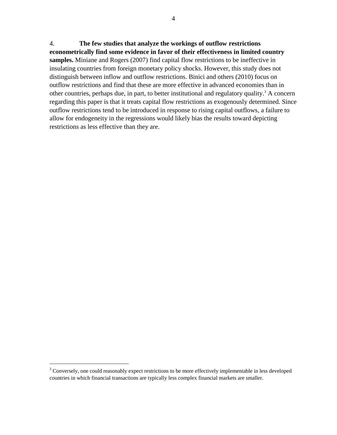4. **The few studies that analyze the workings of outflow restrictions econometrically find some evidence in favor of their effectiveness in limited country samples.** Miniane and Rogers (2007) find capital flow restrictions to be ineffective in insulating countries from foreign monetary policy shocks. However, this study does not distinguish between inflow and outflow restrictions. Binici and others (2010) focus on outflow restrictions and find that these are more effective in advanced economies than in other countries, perhaps due, in part, to better institutional and regulatory quality.<sup>3</sup> A concern regarding this paper is that it treats capital flow restrictions as exogenously determined. Since outflow restrictions tend to be introduced in response to rising capital outflows, a failure to allow for endogeneity in the regressions would likely bias the results toward depicting restrictions as less effective than they are.

<sup>&</sup>lt;sup>3</sup> Conversely, one could reasonably expect restrictions to be more effectively implementable in less developed countries in which financial transactions are typically less complex financial markets are smaller.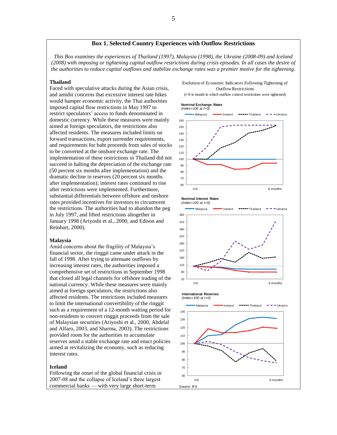#### **Box 1. Selected Country Experiences with Outflow Restrictions**

*This Box examines the experiences of Thailand (1997), Malaysia (1998), the Ukraine (2008-09) and Iceland (2008) with imposing or tightening capital outflow restrictions during crisis episodes. In all cases the desire of the authorities to reduce capital outflows and stabilize exchange rates was a premier motive for the tightening.*

#### **Thailand**

Faced with speculative attacks during the Asian crisis, and amidst concerns that excessive interest rate hikes would hamper economic activity, the Thai authorities imposed capital flow restrictions in May 1997 to restrict speculators' access to funds denominated in domestic currency. While these measures were mainly aimed at foreign speculators, the restrictions also affected residents. The measures included limits on forward transactions, export surrender requirements, and requirements for baht proceeds from sales of stocks to be converted at the onshore exchange rate. The implementation of these restrictions in Thailand did not succeed in halting the depreciation of the exchange rate (50 percent six months after implementation) and the dramatic decline in reserves (20 percent six months after implementation); interest rates continued to rise after restrictions were implemented. Furthermore, substantial differentials between offshore and onshore rates provided incentives for investors to circumvent the restrictions. The authorities had to abandon the peg in July 1997, and lifted restrictions altogether in January 1998 (Ariyoshi et al., 2000, and Edison and Reinhart, 2000).

#### **Malaysia**

Amid concerns about the fragility of Malaysia's financial sector, the ringgit came under attack in the fall of 1998. After trying to attenuate outflows by increasing interest rates, the authorities imposed a comprehensive set of restrictions in September 1998 that closed all legal channels for offshore trading of the national currency. While these measures were mainly aimed at foreign speculators, the restrictions also affected residents. The restrictions included measures to limit the international convertibility of the ringgit such as a requirement of a 12-month waiting period for non-residents to convert ringgit proceeds from the sale of Malaysian securities (Ariyoshi et al., 2000, Abdelal and Alfaro, 2003, and Sharma, 2003). The restrictions provided room for the authorities to accumulate reserves amid a stable exchange rate and enact policies aimed at revitalizing the economy, such as reducing interest rates.

#### **Iceland**

Following the onset of the global financial crisis in 2007-08 and the collapse of Iceland's three largest commercial banks — with very large short-term Source: IFS

Evolution of Economic Indicators Following Tightening of Outflow Restrictions

(t=0 is month in which outflow control restrictions were tightened)

## 60 70  $80$ 90 100 110 120 130 140 150 160 Malaysia  $\longrightarrow$  Iceland  $\longrightarrow$  Thailand  $\longrightarrow$  Ukraine t=0 6 months **Nominal Exchange Rates** *(Index=100 at t=0)* 100 110 120 130 140 Malaysia Iceland Thailand Thailand Ukraine **International Reserves** *(Index=100 at t=0)* **Nominal Interest Rates** *(Index=100 at t=0)* 10 60 110 160 210 260 310 360 410 460 Malaysia  $\longrightarrow$  Iceland  $\longrightarrow$  Thailand  $\longrightarrow$  Ukraine t=0 6 months

t=0 6 months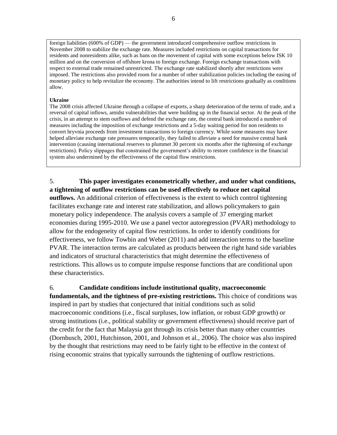foreign liabilities (600% of GDP) — the government introduced comprehensive outflow restrictions in November 2008 to stabilize the exchange rate. Measures included restrictions on capital transactions for residents and nonresidents alike, such as bans on the movement of capital with some exceptions below ISK 10 million and on the conversion of offshore krona to foreign exchange. Foreign exchange transactions with respect to external trade remained unrestricted. The exchange rate stabilized shortly after restrictions were imposed. The restrictions also provided room for a number of other stabilization policies including the easing of monetary policy to help revitalize the economy. The authorities intend to lift restrictions gradually as conditions allow.

#### **Ukraine**

The 2008 crisis affected Ukraine through a collapse of exports, a sharp deterioration of the terms of trade, and a reversal of capital inflows, amidst vulnerabilities that were building up in the financial sector. At the peak of the crisis, in an attempt to stem outflows and defend the exchange rate, the central bank introduced a number of measures including the imposition of exchange restrictions and a 5-day waiting period for non residents to convert hryvnia proceeds from investment transactions to foreign currency. While some measures may have helped alleviate exchange rate pressures temporarily, they failed to alleviate a need for massive central bank intervention (causing international reserves to plummet 30 percent six months after the tightening of exchange restrictions). Policy slippages that constrained the government's ability to restore confidence in the financial system also undermined by the effectiveness of the capital flow restrictions.

5. **This paper investigates econometrically whether, and under what conditions, a tightening of outflow restrictions can be used effectively to reduce net capital** 

**outflows.** An additional criterion of effectiveness is the extent to which control tightening facilitates exchange rate and interest rate stabilization, and allows policymakers to gain monetary policy independence. The analysis covers a sample of 37 emerging market economies during 1995-2010. We use a panel vector autoregression (PVAR) methodology to allow for the endogeneity of capital flow restrictions. In order to identify conditions for effectiveness, we follow Towbin and Weber (2011) and add interaction terms to the baseline PVAR. The interaction terms are calculated as products between the right hand side variables and indicators of structural characteristics that might determine the effectiveness of restrictions. This allows us to compute impulse response functions that are conditional upon these characteristics.

6. **Candidate conditions include institutional quality, macroeconomic fundamentals, and the tightness of pre-existing restrictions.** This choice of conditions was inspired in part by studies that conjectured that initial conditions such as solid macroeconomic conditions (i.e., fiscal surpluses, low inflation, or robust GDP growth) or strong institutions (i.e., political stability or government effectiveness) should receive part of the credit for the fact that Malaysia got through its crisis better than many other countries (Dornbusch, 2001, Hutchinson, 2001, and Johnson et al., 2006). The choice was also inspired by the thought that restrictions may need to be fairly tight to be effective in the context of rising economic strains that typically surrounds the tightening of outflow restrictions.

6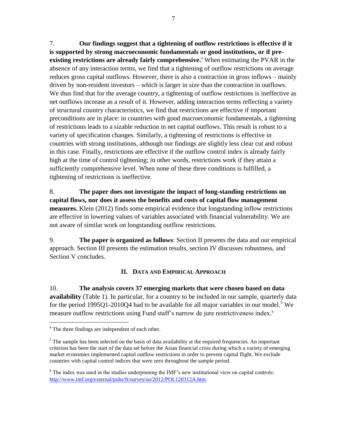7. **Our findings suggest that a tightening of outflow restrictions is effective if it is supported by strong macroeconomic fundamentals or good institutions, or if preexisting restrictions are already fairly comprehensive.** <sup>4</sup> When estimating the PVAR in the absence of any interaction terms, we find that a tightening of outflow restrictions on average reduces gross capital outflows. However, there is also a contraction in gross inflows – mainly driven by non-resident investors – which is larger in size than the contraction in outflows. We thus find that for the average country, a tightening of outflow restrictions is ineffective as net outflows increase as a result of it. However, adding interaction terms reflecting a variety of structural country characteristics, we find that restrictions are effective if important preconditions are in place: in countries with good macroeconomic fundamentals, a tightening of restrictions leads to a sizable reduction in net capital outflows. This result is robust to a variety of specification changes. Similarly, a tightening of restrictions is effective in countries with strong institutions, although our findings are slightly less clear cut and robust in this case. Finally, restrictions are effective if the outflow control index is already fairly high at the time of control tightening; in other words, restrictions work if they attain a sufficiently comprehensive level. When none of these three conditions is fulfilled, a tightening of restrictions is ineffective.

8. **The paper does not investigate the impact of long-standing restrictions on capital flows, nor does it assess the benefits and costs of capital flow management measures.** Klein (2012) finds some empirical evidence that longstanding inflow restrictions are effective in lowering values of variables associated with financial vulnerability. We are not aware of similar work on longstanding outflow restrictions.

9. **The paper is organized as follows**: Section II presents the data and our empirical approach. Section III presents the estimation results, section IV discusses robustness, and Section V concludes.

# **II. DATA AND EMPIRICAL APPROACH**

10. **The analysis covers 37 emerging markets that were chosen based on data availability** (Table 1). In particular, for a country to be included in our sample, quarterly data for the period 1995Q1-2010Q4 had to be available for all major variables in our model.<sup>5</sup> We measure outflow restrictions using Fund staff's narrow de jure restrictiveness index. 6

<sup>&</sup>lt;sup>4</sup> The three findings are independent of each other.

 $<sup>5</sup>$  The sample has been selected on the basis of data availability at the required frequencies. An important</sup> criterion has been the start of the data set before the Asian financial crisis during which a variety of emerging market economies implemented capital outflow restrictions in order to prevent capital flight. We exclude countries with capital control indices that were zero throughout the sample period.

<sup>&</sup>lt;sup>6</sup> The index was used in the studies underpinning the IMF's new institutional view on capital controls: [http://www.imf.org/external/pubs/ft/survey/so/2012/POL120312A.htm.](http://www.imf.org/external/pubs/ft/survey/so/2012/POL120312A.htm)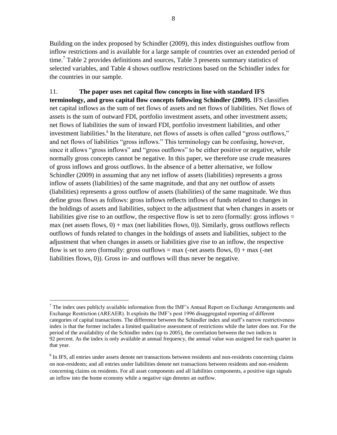Building on the index proposed by Schindler (2009), this index distinguishes outflow from inflow restrictions and is available for a large sample of countries over an extended period of time.<sup>7</sup> Table 2 provides definitions and sources, Table 3 presents summary statistics of selected variables, and Table 4 shows outflow restrictions based on the Schindler index for the countries in our sample.

11. **The paper uses net capital flow concepts in line with standard IFS terminology, and gross capital flow concepts following Schindler (2009).** IFS classifies net capital inflows as the sum of net flows of assets and net flows of liabilities. Net flows of assets is the sum of outward FDI, portfolio investment assets, and other investment assets; net flows of liabilities the sum of inward FDI, portfolio investment liabilities, and other investment liabilities.<sup>8</sup> In the literature, net flows of assets is often called "gross outflows," and net flows of liabilities "gross inflows." This terminology can be confusing, however, since it allows "gross inflows" and "gross outflows" to be either positive or negative, while normally gross concepts cannot be negative. In this paper, we therefore use crude measures of gross inflows and gross outflows. In the absence of a better alternative, we follow Schindler (2009) in assuming that any net inflow of assets (liabilities) represents a gross inflow of assets (liabilities) of the same magnitude, and that any net outflow of assets (liabilities) represents a gross outflow of assets (liabilities) of the same magnitude. We thus define gross flows as follows: gross inflows reflects inflows of funds related to changes in the holdings of assets and liabilities, subject to the adjustment that when changes in assets or liabilities give rise to an outflow, the respective flow is set to zero (formally: gross inflows  $=$ max (net assets flows,  $0$ ) + max (net liabilities flows, 0)). Similarly, gross outflows reflects outflows of funds related to changes in the holdings of assets and liabilities, subject to the adjustment that when changes in assets or liabilities give rise to an inflow, the respective flow is set to zero (formally: gross outflows  $=$  max (-net assets flows, 0)  $+$  max (-net liabilities flows, 0)). Gross in- and outflows will thus never be negative.

<sup>&</sup>lt;sup>7</sup> The index uses publicly available information from the IMF's Annual Report on Exchange Arrangements and Exchange Restriction (AREAER). It exploits the IMF's post 1996 disaggregated reporting of different categories of capital transactions. The difference between the Schindler index and staff's narrow restrictiveness index is that the former includes a limited qualitative assessment of restrictions while the latter does not. For the period of the availability of the Schindler index (up to 2005), the correlation between the two indices is 92 percent. As the index is only available at annual frequency, the annual value was assigned for each quarter in that year.

<sup>&</sup>lt;sup>8</sup> In IFS, all entries under assets denote net transactions between residents and non-residents concerning claims on non-residents; and all entries under liabilities denote net transactions between residents and non-residents concerning claims on residents. For all asset components and all liabilities components, a positive sign signals an inflow into the home economy while a negative sign denotes an outflow.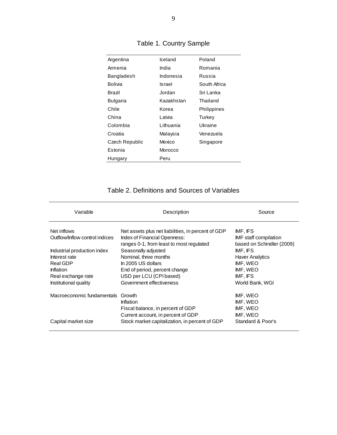| Argentina      | Iceland    | Poland       |
|----------------|------------|--------------|
| Armenia        | India      | Romania      |
| Bangladesh     | Indonesia  | Russia       |
| Bolivia        | Israel     | South Africa |
| <b>Brazil</b>  | Jordan     | Sri Lanka    |
| Bulgaria       | Kazakhstan | Thailand     |
| Chile          | Korea      | Philippines  |
| China          | Latvia     | Turkey       |
| Colombia       | Lithuania  | Ukraine      |
| Croatia        | Malaysia   | Venezuela    |
| Czech Republic | Mexico     | Singapore    |
| Estonia        | Morocco    |              |
| Hungary        | Peru       |              |

| Table 1. Country Sample |  |  |  |
|-------------------------|--|--|--|
|-------------------------|--|--|--|

# Table 2. Definitions and Sources of Variables

| Variable                       | Description                                                              | Source                                             |
|--------------------------------|--------------------------------------------------------------------------|----------------------------------------------------|
| Net inflows                    | Net assets plus net liabilities, in percent of GDP                       | IMF, IFS                                           |
| Outflow/Inflow control indices | Index of Financial Openness:<br>ranges 0-1, from least to most regulated | IMF staff compilation<br>based on Schindler (2009) |
| Industrial production index    | Seasonally adjusted                                                      | IMF, IFS                                           |
| Interest rate                  | Nominal, three months                                                    | <b>Haver Analytics</b>                             |
| Real GDP                       | In 2005 US dollars                                                       | IMF, WEO                                           |
| Inflation                      | End of period, percent change                                            | IMF, WEO                                           |
| Real exchange rate             | USD per LCU (CPI based)                                                  | IMF. IFS                                           |
| Institutional quality          | Government effectiveness                                                 | World Bank, WGI                                    |
| Macroeconomic fundamentals     | Growth                                                                   | IMF, WEO                                           |
|                                | Inflation                                                                | IMF, WEO                                           |
|                                | Fiscal balance, in percent of GDP                                        | IMF, WEO                                           |
|                                | Current account, in percent of GDP                                       | IMF, WEO                                           |
| Capital market size            | Stock market capitalization, in percent of GDP                           | Standard & Poor's                                  |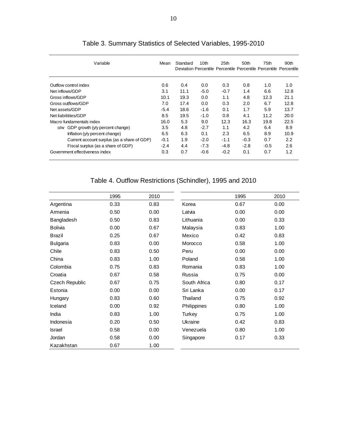| Variable                                    | Mean   | Standard | 10th   | 25th   | 50th   | 75th<br>Deviation Percentile Percentile Percentile Percentile Percentile | 90th |
|---------------------------------------------|--------|----------|--------|--------|--------|--------------------------------------------------------------------------|------|
| Outflow control index                       | 0.6    | 0.4      | 0.0    | 0.3    | 0.8    | 1.0                                                                      | 1.0  |
| Net inflows/GDP                             | 3.1    | 11.1     | $-5.0$ | $-0.7$ | 1.4    | 6.6                                                                      | 12.8 |
| Gross inflows/GDP                           | 10.1   | 19.3     | 0.0    | 1.1    | 4.8    | 12.3                                                                     | 21.1 |
| Gross outflows/GDP                          | 7.0    | 17.4     | 0.0    | 0.3    | 2.0    | 6.7                                                                      | 12.8 |
| Net assets/GDP                              | $-5.4$ | 18.6     | $-1.6$ | 0.1    | 1.7    | 5.9                                                                      | 13.7 |
| Net liabilitites/GDP                        | 8.5    | 19.5     | $-1.0$ | 0.8    | 4.1    | 11.2                                                                     | 20.0 |
| Macro fundamentals index                    | 16.0   | 5.3      | 9.0    | 12.3   | 16.3   | 19.8                                                                     | 22.5 |
| $o/w$ GDP growth $(y/y)$ percent change)    | 3.5    | 4.8      | $-2.7$ | 1.1    | 4.2    | 6.4                                                                      | 8.9  |
| Inflation (y/y percent change)              | 6.5    | 6.3      | 0.1    | 2.3    | 6.5    | 8.9                                                                      | 10.9 |
| Current account surplus (as a share of GDP) |        | 1.9      | $-2.0$ | $-1.1$ | $-0.3$ | 0.7                                                                      | 2.2  |
| Fiscal surplus (as a share of GDP)          |        | 4.4      | $-7.3$ | $-4.8$ | $-2.8$ | $-0.5$                                                                   | 2.6  |
| Government effectiveness index              | 0.3    | 0.7      | $-0.6$ | $-0.2$ | 0.1    | 0.7                                                                      | 1.2  |

# Table 3. Summary Statistics of Selected Variables, 1995-2010

# Table 4. Outflow Restrictions (Schindler), 1995 and 2010

|                 | 1995 | 2010 |                    | 1995 | 2010 |
|-----------------|------|------|--------------------|------|------|
| Argentina       | 0.33 | 0.83 | Korea              | 0.67 | 0.00 |
| Armenia         | 0.50 | 0.00 | Latvia             | 0.00 | 0.00 |
| Bangladesh      | 0.50 | 0.83 | Lithuania          | 0.00 | 0.33 |
| <b>Bolivia</b>  | 0.00 | 0.67 | Malaysia           | 0.83 | 1.00 |
| <b>Brazil</b>   | 0.25 | 0.67 | Mexico             | 0.42 | 0.83 |
| <b>Bulgaria</b> | 0.83 | 0.00 | Morocco            | 0.58 | 1.00 |
| Chile           | 0.83 | 0.50 | Peru               | 0.00 | 0.00 |
| China           | 0.83 | 1.00 | Poland             | 0.58 | 1.00 |
| Colombia        | 0.75 | 0.83 | Romania            | 0.83 | 1.00 |
| Croatia         | 0.67 | 0.58 | Russia             | 0.75 | 0.00 |
| Czech Republic  | 0.67 | 0.75 | South Africa       | 0.80 | 0.17 |
| Estonia         | 0.00 | 0.00 | Sri Lanka          | 0.00 | 0.17 |
| Hungary         | 0.83 | 0.60 | Thailand           | 0.75 | 0.92 |
| Iceland         | 0.00 | 0.92 | <b>Philippines</b> | 0.80 | 1.00 |
| India           | 0.83 | 1.00 | Turkey             | 0.75 | 1.00 |
| Indonesia       | 0.20 | 0.50 | Ukraine            | 0.42 | 0.83 |
| <b>Israel</b>   | 0.58 | 0.00 | Venezuela          | 0.80 | 1.00 |
| Jordan          | 0.58 | 0.00 | Singapore          | 0.17 | 0.33 |
| Kazakhstan      | 0.67 | 1.00 |                    |      |      |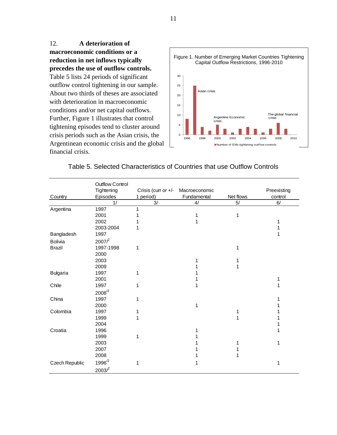12. **A deterioration of macroeconomic conditions or a reduction in net inflows typically precedes the use of outflow controls.** Table 5 lists 24 periods of significant outflow control tightening in our sample. About two thirds of theses are associated with deterioration in macroeconomic conditions and/or net capital outflows. Further, Figure 1 illustrates that control tightening episodes tend to cluster around crisis periods such as the Asian crisis, the Argentinean economic crisis and the global financial crisis.



|                 | <b>Outflow Control</b> |                     |               |           |             |
|-----------------|------------------------|---------------------|---------------|-----------|-------------|
|                 | Tightening             | Crisis (curr or +/- | Macroeconomic |           | Preexisting |
| Country         | Episodes               | 1 period)           | Fundamental   | Net flows | control     |
|                 | 1/                     | 3/                  | 4/            | 5/        | 6/          |
| Argentina       | 1997                   | 1                   |               |           |             |
|                 | 2001                   |                     |               | 1         |             |
|                 | 2002                   |                     |               |           |             |
|                 | 2003-2004              |                     |               |           |             |
| Bangladesh      | 1997                   |                     |               |           |             |
| Bolivia         | 2007 <sup>2</sup>      |                     |               |           |             |
| <b>Brazil</b>   | 1997-1998              | 1                   |               | 1         |             |
|                 | 2000                   |                     |               |           |             |
|                 | 2003                   |                     |               |           |             |
|                 | 2009                   |                     |               |           |             |
| <b>Bulgaria</b> | 1997                   | 1                   |               |           |             |
|                 | 2001                   |                     |               |           |             |
| Chile           | 1997                   | 1                   |               |           |             |
|                 | $2008^{2}$             |                     |               |           |             |
| China           | 1997                   | 1                   |               |           |             |
|                 | 2000                   |                     |               |           |             |
| Colombia        | 1997                   |                     |               |           |             |
|                 | 1999                   | 1                   |               |           |             |
|                 | 2004                   |                     |               |           |             |
| Croatia         | 1996                   |                     |               |           |             |
|                 | 1999                   | 1                   |               |           |             |
|                 | 2003                   |                     |               |           |             |
|                 | 2007                   |                     |               |           |             |
|                 | 2008                   |                     |               |           |             |
| Czech Republic  | $1996^{2}$             | 1                   |               |           | 1           |
|                 | 2003 <sup>2</sup>      |                     |               |           |             |

# Table 5. Selected Characteristics of Countries that use Outflow Controls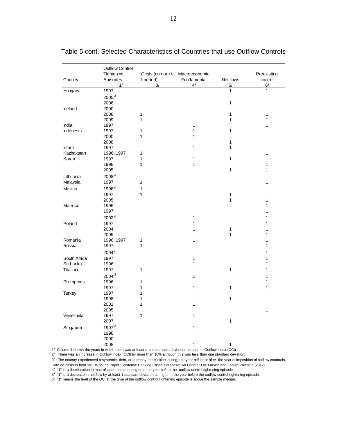| Preexisting<br>Tightening<br>Crisis (curr or +/-<br>Macroeconomic<br>1 period)<br>Fundamental<br>Episodes<br>Net flows<br>control<br>Country<br>3/<br>5/<br>6/<br>1/<br>4/<br>1997<br>Hungary<br>$\mathbf{1}$<br>$\mathbf{1}$<br>2005 <sup>2</sup><br>2006<br>$\mathbf 1$<br>2000<br>Iceland<br>2008<br>$\mathbf 1$<br>$\mathbf{1}$<br>$\mathbf{1}$<br>$\mathbf{1}$<br>$\mathbf{1}$<br>2009<br>$\mathbf{1}$<br>India<br>1997<br>$\mathbf{1}$<br>1<br>Indonesia<br>1997<br>$\mathbf 1$<br>1<br>$\mathbf{1}$<br>2000<br>1<br>1<br>2008<br>$\mathbf{1}$<br>1997<br>Israel<br>1<br>$\mathbf{1}$<br>Kazhakstan<br>1996, 1997<br>1<br>$\mathbf{1}$<br>$\mathbf 1$<br>Korea<br>1997<br>1<br>$\mathbf{1}$<br>1998<br>1<br>1<br>$\mathbf{1}$<br>$\mathbf{1}$<br>$\mathbf{1}$<br>2005<br>2008 <sup>2</sup><br>Lithuania<br>1997<br>$\mathbf 1$<br>$\mathbf{1}$<br>Malaysia<br>1996 <sup>2</sup><br>$\mathbf 1$<br>Mexico<br>1997<br>$\mathbf 1$<br>1<br>2005<br>1<br>1<br>1996<br>1<br>Morroco<br>1997<br>1<br>2002 <sup>2</sup><br>1<br>1<br>Poland<br>1997<br>$\mathbf 1$<br>$\mathbf{1}$<br>2004<br>1<br>$\mathbf{1}$<br>1<br>2009<br>$\mathbf{1}$<br>$\mathbf{1}$<br>Romania<br>1996, 1997<br>1<br>1<br>1<br>1997<br>1<br>Russia<br>1<br>2004 <sup>2</sup><br>$\mathbf{1}$<br>South Africa<br>1997<br>1<br>1<br>Sri Lanka<br>1996<br>1<br>1<br>1997<br>$\mathbf 1$<br>1<br>1<br>Thailand<br>$2004^{2}$<br>1<br>$\mathbf{1}$<br>Philippines<br>1996<br>1<br>1<br>1997<br>1<br>1<br>$\mathbf{1}$<br>$\mathbf{1}$<br>Turkey<br>1997<br>1<br>1998<br>1<br>$\mathbf{1}$<br>2001<br>1<br>1<br>2005<br>$\mathbf{1}$<br>Venezuela<br>$\mathbf{1}$<br>1997<br>1<br>$\mathbf 1$<br>2007<br>$1997^{2}$<br>Singapore<br>1<br>1998<br>2000 | <b>Outflow Control</b> |   |   |  |
|-------------------------------------------------------------------------------------------------------------------------------------------------------------------------------------------------------------------------------------------------------------------------------------------------------------------------------------------------------------------------------------------------------------------------------------------------------------------------------------------------------------------------------------------------------------------------------------------------------------------------------------------------------------------------------------------------------------------------------------------------------------------------------------------------------------------------------------------------------------------------------------------------------------------------------------------------------------------------------------------------------------------------------------------------------------------------------------------------------------------------------------------------------------------------------------------------------------------------------------------------------------------------------------------------------------------------------------------------------------------------------------------------------------------------------------------------------------------------------------------------------------------------------------------------------------------------------------------------------------------------------------------------------------------------------------------------------------------------|------------------------|---|---|--|
|                                                                                                                                                                                                                                                                                                                                                                                                                                                                                                                                                                                                                                                                                                                                                                                                                                                                                                                                                                                                                                                                                                                                                                                                                                                                                                                                                                                                                                                                                                                                                                                                                                                                                                                         |                        |   |   |  |
|                                                                                                                                                                                                                                                                                                                                                                                                                                                                                                                                                                                                                                                                                                                                                                                                                                                                                                                                                                                                                                                                                                                                                                                                                                                                                                                                                                                                                                                                                                                                                                                                                                                                                                                         |                        |   |   |  |
|                                                                                                                                                                                                                                                                                                                                                                                                                                                                                                                                                                                                                                                                                                                                                                                                                                                                                                                                                                                                                                                                                                                                                                                                                                                                                                                                                                                                                                                                                                                                                                                                                                                                                                                         |                        |   |   |  |
|                                                                                                                                                                                                                                                                                                                                                                                                                                                                                                                                                                                                                                                                                                                                                                                                                                                                                                                                                                                                                                                                                                                                                                                                                                                                                                                                                                                                                                                                                                                                                                                                                                                                                                                         |                        |   |   |  |
|                                                                                                                                                                                                                                                                                                                                                                                                                                                                                                                                                                                                                                                                                                                                                                                                                                                                                                                                                                                                                                                                                                                                                                                                                                                                                                                                                                                                                                                                                                                                                                                                                                                                                                                         |                        |   |   |  |
|                                                                                                                                                                                                                                                                                                                                                                                                                                                                                                                                                                                                                                                                                                                                                                                                                                                                                                                                                                                                                                                                                                                                                                                                                                                                                                                                                                                                                                                                                                                                                                                                                                                                                                                         |                        |   |   |  |
|                                                                                                                                                                                                                                                                                                                                                                                                                                                                                                                                                                                                                                                                                                                                                                                                                                                                                                                                                                                                                                                                                                                                                                                                                                                                                                                                                                                                                                                                                                                                                                                                                                                                                                                         |                        |   |   |  |
|                                                                                                                                                                                                                                                                                                                                                                                                                                                                                                                                                                                                                                                                                                                                                                                                                                                                                                                                                                                                                                                                                                                                                                                                                                                                                                                                                                                                                                                                                                                                                                                                                                                                                                                         |                        |   |   |  |
|                                                                                                                                                                                                                                                                                                                                                                                                                                                                                                                                                                                                                                                                                                                                                                                                                                                                                                                                                                                                                                                                                                                                                                                                                                                                                                                                                                                                                                                                                                                                                                                                                                                                                                                         |                        |   |   |  |
|                                                                                                                                                                                                                                                                                                                                                                                                                                                                                                                                                                                                                                                                                                                                                                                                                                                                                                                                                                                                                                                                                                                                                                                                                                                                                                                                                                                                                                                                                                                                                                                                                                                                                                                         |                        |   |   |  |
|                                                                                                                                                                                                                                                                                                                                                                                                                                                                                                                                                                                                                                                                                                                                                                                                                                                                                                                                                                                                                                                                                                                                                                                                                                                                                                                                                                                                                                                                                                                                                                                                                                                                                                                         |                        |   |   |  |
|                                                                                                                                                                                                                                                                                                                                                                                                                                                                                                                                                                                                                                                                                                                                                                                                                                                                                                                                                                                                                                                                                                                                                                                                                                                                                                                                                                                                                                                                                                                                                                                                                                                                                                                         |                        |   |   |  |
|                                                                                                                                                                                                                                                                                                                                                                                                                                                                                                                                                                                                                                                                                                                                                                                                                                                                                                                                                                                                                                                                                                                                                                                                                                                                                                                                                                                                                                                                                                                                                                                                                                                                                                                         |                        |   |   |  |
|                                                                                                                                                                                                                                                                                                                                                                                                                                                                                                                                                                                                                                                                                                                                                                                                                                                                                                                                                                                                                                                                                                                                                                                                                                                                                                                                                                                                                                                                                                                                                                                                                                                                                                                         |                        |   |   |  |
|                                                                                                                                                                                                                                                                                                                                                                                                                                                                                                                                                                                                                                                                                                                                                                                                                                                                                                                                                                                                                                                                                                                                                                                                                                                                                                                                                                                                                                                                                                                                                                                                                                                                                                                         |                        |   |   |  |
|                                                                                                                                                                                                                                                                                                                                                                                                                                                                                                                                                                                                                                                                                                                                                                                                                                                                                                                                                                                                                                                                                                                                                                                                                                                                                                                                                                                                                                                                                                                                                                                                                                                                                                                         |                        |   |   |  |
|                                                                                                                                                                                                                                                                                                                                                                                                                                                                                                                                                                                                                                                                                                                                                                                                                                                                                                                                                                                                                                                                                                                                                                                                                                                                                                                                                                                                                                                                                                                                                                                                                                                                                                                         |                        |   |   |  |
|                                                                                                                                                                                                                                                                                                                                                                                                                                                                                                                                                                                                                                                                                                                                                                                                                                                                                                                                                                                                                                                                                                                                                                                                                                                                                                                                                                                                                                                                                                                                                                                                                                                                                                                         |                        |   |   |  |
|                                                                                                                                                                                                                                                                                                                                                                                                                                                                                                                                                                                                                                                                                                                                                                                                                                                                                                                                                                                                                                                                                                                                                                                                                                                                                                                                                                                                                                                                                                                                                                                                                                                                                                                         |                        |   |   |  |
|                                                                                                                                                                                                                                                                                                                                                                                                                                                                                                                                                                                                                                                                                                                                                                                                                                                                                                                                                                                                                                                                                                                                                                                                                                                                                                                                                                                                                                                                                                                                                                                                                                                                                                                         |                        |   |   |  |
|                                                                                                                                                                                                                                                                                                                                                                                                                                                                                                                                                                                                                                                                                                                                                                                                                                                                                                                                                                                                                                                                                                                                                                                                                                                                                                                                                                                                                                                                                                                                                                                                                                                                                                                         |                        |   |   |  |
|                                                                                                                                                                                                                                                                                                                                                                                                                                                                                                                                                                                                                                                                                                                                                                                                                                                                                                                                                                                                                                                                                                                                                                                                                                                                                                                                                                                                                                                                                                                                                                                                                                                                                                                         |                        |   |   |  |
|                                                                                                                                                                                                                                                                                                                                                                                                                                                                                                                                                                                                                                                                                                                                                                                                                                                                                                                                                                                                                                                                                                                                                                                                                                                                                                                                                                                                                                                                                                                                                                                                                                                                                                                         |                        |   |   |  |
|                                                                                                                                                                                                                                                                                                                                                                                                                                                                                                                                                                                                                                                                                                                                                                                                                                                                                                                                                                                                                                                                                                                                                                                                                                                                                                                                                                                                                                                                                                                                                                                                                                                                                                                         |                        |   |   |  |
|                                                                                                                                                                                                                                                                                                                                                                                                                                                                                                                                                                                                                                                                                                                                                                                                                                                                                                                                                                                                                                                                                                                                                                                                                                                                                                                                                                                                                                                                                                                                                                                                                                                                                                                         |                        |   |   |  |
|                                                                                                                                                                                                                                                                                                                                                                                                                                                                                                                                                                                                                                                                                                                                                                                                                                                                                                                                                                                                                                                                                                                                                                                                                                                                                                                                                                                                                                                                                                                                                                                                                                                                                                                         |                        |   |   |  |
|                                                                                                                                                                                                                                                                                                                                                                                                                                                                                                                                                                                                                                                                                                                                                                                                                                                                                                                                                                                                                                                                                                                                                                                                                                                                                                                                                                                                                                                                                                                                                                                                                                                                                                                         |                        |   |   |  |
|                                                                                                                                                                                                                                                                                                                                                                                                                                                                                                                                                                                                                                                                                                                                                                                                                                                                                                                                                                                                                                                                                                                                                                                                                                                                                                                                                                                                                                                                                                                                                                                                                                                                                                                         |                        |   |   |  |
|                                                                                                                                                                                                                                                                                                                                                                                                                                                                                                                                                                                                                                                                                                                                                                                                                                                                                                                                                                                                                                                                                                                                                                                                                                                                                                                                                                                                                                                                                                                                                                                                                                                                                                                         |                        |   |   |  |
|                                                                                                                                                                                                                                                                                                                                                                                                                                                                                                                                                                                                                                                                                                                                                                                                                                                                                                                                                                                                                                                                                                                                                                                                                                                                                                                                                                                                                                                                                                                                                                                                                                                                                                                         |                        |   |   |  |
|                                                                                                                                                                                                                                                                                                                                                                                                                                                                                                                                                                                                                                                                                                                                                                                                                                                                                                                                                                                                                                                                                                                                                                                                                                                                                                                                                                                                                                                                                                                                                                                                                                                                                                                         |                        |   |   |  |
|                                                                                                                                                                                                                                                                                                                                                                                                                                                                                                                                                                                                                                                                                                                                                                                                                                                                                                                                                                                                                                                                                                                                                                                                                                                                                                                                                                                                                                                                                                                                                                                                                                                                                                                         |                        |   |   |  |
|                                                                                                                                                                                                                                                                                                                                                                                                                                                                                                                                                                                                                                                                                                                                                                                                                                                                                                                                                                                                                                                                                                                                                                                                                                                                                                                                                                                                                                                                                                                                                                                                                                                                                                                         |                        |   |   |  |
|                                                                                                                                                                                                                                                                                                                                                                                                                                                                                                                                                                                                                                                                                                                                                                                                                                                                                                                                                                                                                                                                                                                                                                                                                                                                                                                                                                                                                                                                                                                                                                                                                                                                                                                         |                        |   |   |  |
|                                                                                                                                                                                                                                                                                                                                                                                                                                                                                                                                                                                                                                                                                                                                                                                                                                                                                                                                                                                                                                                                                                                                                                                                                                                                                                                                                                                                                                                                                                                                                                                                                                                                                                                         |                        |   |   |  |
|                                                                                                                                                                                                                                                                                                                                                                                                                                                                                                                                                                                                                                                                                                                                                                                                                                                                                                                                                                                                                                                                                                                                                                                                                                                                                                                                                                                                                                                                                                                                                                                                                                                                                                                         |                        |   |   |  |
|                                                                                                                                                                                                                                                                                                                                                                                                                                                                                                                                                                                                                                                                                                                                                                                                                                                                                                                                                                                                                                                                                                                                                                                                                                                                                                                                                                                                                                                                                                                                                                                                                                                                                                                         |                        |   |   |  |
|                                                                                                                                                                                                                                                                                                                                                                                                                                                                                                                                                                                                                                                                                                                                                                                                                                                                                                                                                                                                                                                                                                                                                                                                                                                                                                                                                                                                                                                                                                                                                                                                                                                                                                                         |                        |   |   |  |
|                                                                                                                                                                                                                                                                                                                                                                                                                                                                                                                                                                                                                                                                                                                                                                                                                                                                                                                                                                                                                                                                                                                                                                                                                                                                                                                                                                                                                                                                                                                                                                                                                                                                                                                         |                        |   |   |  |
|                                                                                                                                                                                                                                                                                                                                                                                                                                                                                                                                                                                                                                                                                                                                                                                                                                                                                                                                                                                                                                                                                                                                                                                                                                                                                                                                                                                                                                                                                                                                                                                                                                                                                                                         |                        |   |   |  |
|                                                                                                                                                                                                                                                                                                                                                                                                                                                                                                                                                                                                                                                                                                                                                                                                                                                                                                                                                                                                                                                                                                                                                                                                                                                                                                                                                                                                                                                                                                                                                                                                                                                                                                                         |                        |   |   |  |
|                                                                                                                                                                                                                                                                                                                                                                                                                                                                                                                                                                                                                                                                                                                                                                                                                                                                                                                                                                                                                                                                                                                                                                                                                                                                                                                                                                                                                                                                                                                                                                                                                                                                                                                         |                        |   |   |  |
|                                                                                                                                                                                                                                                                                                                                                                                                                                                                                                                                                                                                                                                                                                                                                                                                                                                                                                                                                                                                                                                                                                                                                                                                                                                                                                                                                                                                                                                                                                                                                                                                                                                                                                                         |                        |   |   |  |
|                                                                                                                                                                                                                                                                                                                                                                                                                                                                                                                                                                                                                                                                                                                                                                                                                                                                                                                                                                                                                                                                                                                                                                                                                                                                                                                                                                                                                                                                                                                                                                                                                                                                                                                         |                        |   |   |  |
|                                                                                                                                                                                                                                                                                                                                                                                                                                                                                                                                                                                                                                                                                                                                                                                                                                                                                                                                                                                                                                                                                                                                                                                                                                                                                                                                                                                                                                                                                                                                                                                                                                                                                                                         |                        |   |   |  |
|                                                                                                                                                                                                                                                                                                                                                                                                                                                                                                                                                                                                                                                                                                                                                                                                                                                                                                                                                                                                                                                                                                                                                                                                                                                                                                                                                                                                                                                                                                                                                                                                                                                                                                                         |                        |   |   |  |
|                                                                                                                                                                                                                                                                                                                                                                                                                                                                                                                                                                                                                                                                                                                                                                                                                                                                                                                                                                                                                                                                                                                                                                                                                                                                                                                                                                                                                                                                                                                                                                                                                                                                                                                         |                        |   |   |  |
|                                                                                                                                                                                                                                                                                                                                                                                                                                                                                                                                                                                                                                                                                                                                                                                                                                                                                                                                                                                                                                                                                                                                                                                                                                                                                                                                                                                                                                                                                                                                                                                                                                                                                                                         | 2008                   | 1 | 1 |  |

# Table 5 cont. Selected Characteristics of Countries that use Outflow Controls

1/ Column 1 shows the years in which there was at least a one standard deviation increase in Outflow index (OCI).

2/ There was an increase in Outflow index (OCI) by more than 10% although this was less than one standard deviation.

3/ The country experienced a systemic, debt, or currency crisis either during, the year before or after the year of imposition of outflow countrols. Data on crisis is from 'IMF Working Paper "Systemic Banking Crises Database: An Update" Luc Laeven and Fabian Valencia (2012)

4/ "1" is a deterioration in macrofundamentals during or in the year before the outflow control tightening episode.

5/ "1" is a decrease in net flow by at least 1 standard deviation during or in the year before the outflow control tightening episode.

6/ "1" means the level of the OCI at the time of the outflow control tightening episode is above the sample median.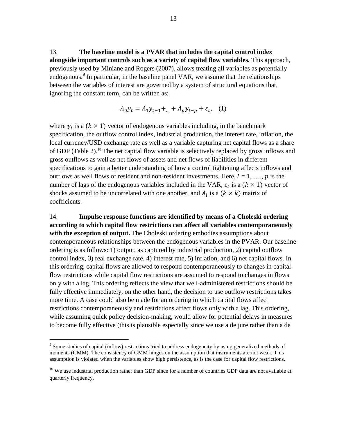13. **The baseline model is a PVAR that includes the capital control index alongside important controls such as a variety of capital flow variables.** This approach, previously used by Miniane and Rogers (2007), allows treating all variables as potentially endogenous.<sup>9</sup> In particular, in the baseline panel VAR, we assume that the relationships between the variables of interest are governed by a system of structural equations that, ignoring the constant term, can be written as:

$$
A_0 y_t = A_1 y_{t-1} + ... + A_p y_{t-p} + \varepsilon_t, \quad (1)
$$

where  $y_t$  is a ( $k \times 1$ ) vector of endogenous variables including, in the benchmark specification, the outflow control index, industrial production, the interest rate, inflation, the local currency/USD exchange rate as well as a variable capturing net capital flows as a share of GDP (Table 2). <sup>10</sup> The net capital flow variable is selectively replaced by gross inflows and gross outflows as well as net flows of assets and net flows of liabilities in different specifications to gain a better understanding of how a control tightening affects inflows and outflows as well flows of resident and non-resident investments. Here,  $l = 1, \ldots, p$  is the number of lags of the endogenous variables included in the VAR,  $\varepsilon_t$  is a  $(k \times 1)$  vector of shocks assumed to be uncorrelated with one another, and  $A_l$  is a  $(k \times k)$  matrix of coefficients.

14. **Impulse response functions are identified by means of a Choleski ordering according to which capital flow restrictions can affect all variables contemporaneously with the exception of output.** The Choleski ordering embodies assumptions about contemporaneous relationships between the endogenous variables in the PVAR. Our baseline ordering is as follows: 1) output, as captured by industrial production, 2) capital outflow control index, 3) real exchange rate, 4) interest rate, 5) inflation, and 6) net capital flows. In this ordering, capital flows are allowed to respond contemporaneously to changes in capital flow restrictions while capital flow restrictions are assumed to respond to changes in flows only with a lag. This ordering reflects the view that well-administered restrictions should be fully effective immediately, on the other hand, the decision to use outflow restrictions takes more time. A case could also be made for an ordering in which capital flows affect restrictions contemporaneously and restrictions affect flows only with a lag. This ordering, while assuming quick policy decision-making, would allow for potential delays in measures to become fully effective (this is plausible especially since we use a de jure rather than a de

<sup>&</sup>lt;sup>9</sup> Some studies of capital (inflow) restrictions tried to address endogeneity by using generalized methods of moments (GMM). The consistency of GMM hinges on the assumption that instruments are not weak. This assumption is violated when the variables show high persistence, as is the case for capital flow restrictions.

 $10$  We use industrial production rather than GDP since for a number of countries GDP data are not available at quarterly frequency.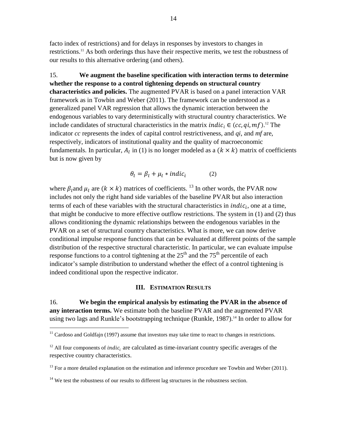facto index of restrictions) and for delays in responses by investors to changes in restrictions.<sup>11</sup> As both orderings thus have their respective merits, we test the robustness of our results to this alternative ordering (and others).

15. **We augment the baseline specification with interaction terms to determine whether the response to a control tightening depends on structural country characteristics and policies.** The augmented PVAR is based on a panel interaction VAR framework as in Towbin and Weber (2011). The framework can be understood as a generalized panel VAR regression that allows the dynamic interaction between the endogenous variables to vary deterministically with structural country characteristics. We include candidates of structural characteristics in the matrix *indic<sub>i</sub>*  $\in$  (*cc*, *qi*, *mf*).<sup>12</sup> The indicator *cc* represents the index of capital control restrictiveness, and *qi*, and *mf* are, respectively, indicators of institutional quality and the quality of macroeconomic fundamentals. In particular,  $A_l$  in (1) is no longer modeled as a  $(k \times k)$  matrix of coefficients but is now given by

$$
\theta_l = \beta_l + \mu_l * \text{indic}_i \tag{2}
$$

where  $\beta_l$  and  $\mu_l$  are  $(k \times k)$  matrices of coefficients. <sup>13</sup> In other words, the PVAR now includes not only the right hand side variables of the baseline PVAR but also interaction terms of each of these variables with the structural characteristics in *indic<sub>i</sub>*, one at a time, that might be conducive to more effective outflow restrictions. The system in (1) and (2) thus allows conditioning the dynamic relationships between the endogenous variables in the PVAR on a set of structural country characteristics. What is more, we can now derive conditional impulse response functions that can be evaluated at different points of the sample distribution of the respective structural characteristic. In particular, we can evaluate impulse response functions to a control tightening at the  $25<sup>th</sup>$  and the  $75<sup>th</sup>$  percentile of each indicator's sample distribution to understand whether the effect of a control tightening is indeed conditional upon the respective indicator.

## **III. ESTIMATION RESULTS**

16. **We begin the empirical analysis by estimating the PVAR in the absence of any interaction terms.** We estimate both the baseline PVAR and the augmented PVAR using two lags and Runkle's bootstrapping technique (Runkle, 1987).<sup>14</sup> In order to allow for

 $11$  Cardoso and Goldfajn (1997) assume that investors may take time to react to changes in restrictions.

 $12$  All four components of *indic<sub>i</sub>* are calculated as time-invariant country specific averages of the respective country characteristics.

 $13$  For a more detailed explanation on the estimation and inference procedure see Towbin and Weber (2011).

 $14$  We test the robustness of our results to different lag structures in the robustness section.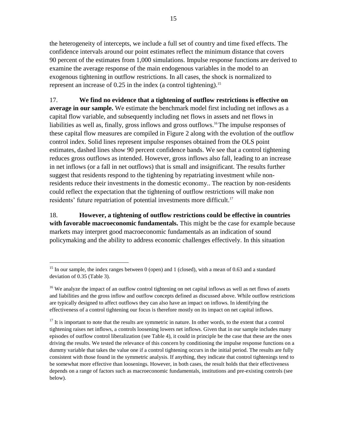the heterogeneity of intercepts, we include a full set of country and time fixed effects. The confidence intervals around our point estimates reflect the minimum distance that covers 90 percent of the estimates from 1,000 simulations. Impulse response functions are derived to examine the average response of the main endogenous variables in the model to an exogenous tightening in outflow restrictions. In all cases, the shock is normalized to represent an increase of  $0.25$  in the index (a control tightening).<sup>15</sup>

17. **We find no evidence that a tightening of outflow restrictions is effective on average in our sample.** We estimate the benchmark model first including net inflows as a capital flow variable, and subsequently including net flows in assets and net flows in liabilities as well as, finally, gross inflows and gross outflows.<sup>16</sup>The impulse responses of these capital flow measures are compiled in Figure 2 along with the evolution of the outflow control index. Solid lines represent impulse responses obtained from the OLS point estimates, dashed lines show 90 percent confidence bands. We see that a control tightening reduces gross outflows as intended. However, gross inflows also fall, leading to an increase in net inflows (or a fall in net outflows) that is small and insignificant. The results further suggest that residents respond to the tightening by repatriating investment while nonresidents reduce their investments in the domestic economy.. The reaction by non-residents could reflect the expectation that the tightening of outflow restrictions will make non residents' future repatriation of potential investments more difficult.<sup>17</sup>

18. **However, a tightening of outflow restrictions could be effective in countries with favorable macroeconomic fundamentals.** This might be the case for example because markets may interpret good macroeconomic fundamentals as an indication of sound policymaking and the ability to address economic challenges effectively. In this situation

<sup>&</sup>lt;sup>15</sup> In our sample, the index ranges between 0 (open) and 1 (closed), with a mean of 0.63 and a standard deviation of 0.35 (Table 3).

<sup>&</sup>lt;sup>16</sup> We analyze the impact of an outflow control tightening on net capital inflows as well as net flows of assets and liabilities and the gross inflow and outflow concepts defined as discussed above. While outflow restrictions are typically designed to affect outflows they can also have an impact on inflows. In identifying the effectiveness of a control tightening our focus is therefore mostly on its impact on net capital inflows.

 $17$  It is important to note that the results are symmetric in nature. In other words, to the extent that a control tightening raises net inflows, a controls loosening lowers net inflows. Given that in our sample includes many episodes of outflow control liberalization (see Table 4), it could in principle be the case that these are the ones driving the results. We tested the relevance of this concern by conditioning the impulse response functions on a dummy variable that takes the value one if a control tightening occurs in the initial period. The results are fully consistent with those found in the symmetric analysis. If anything, they indicate that control tightenings tend to be somewhat more effective than loosenings. However, in both cases, the result holds that their effectiveness depends on a range of factors such as macroeconomic fundamentals, institutions and pre-existing controls (see below).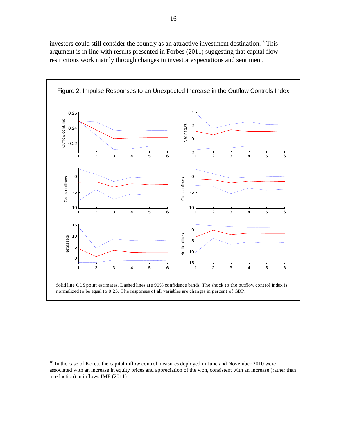investors could still consider the country as an attractive investment destination.<sup>18</sup> This argument is in line with results presented in Forbes (2011) suggesting that capital flow restrictions work mainly through changes in investor expectations and sentiment.



<sup>&</sup>lt;sup>18</sup> In the case of Korea, the capital inflow control measures deployed in June and November 2010 were associated with an increase in equity prices and appreciation of the won, consistent with an increase (rather than a reduction) in inflows IMF (2011).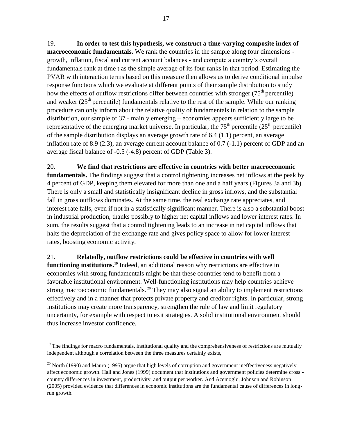19. **In order to test this hypothesis, we construct a time-varying composite index of macroeconomic fundamentals.** We rank the countries in the sample along four dimensions growth, inflation, fiscal and current account balances - and compute a country's overall fundamentals rank at time t as the simple average of its four ranks in that period. Estimating the PVAR with interaction terms based on this measure then allows us to derive conditional impulse response functions which we evaluate at different points of their sample distribution to study how the effects of outflow restrictions differ between countries with stronger  $(75<sup>th</sup>$  percentile) and weaker  $(25<sup>th</sup>$  percentile) fundamentals relative to the rest of the sample. While our ranking procedure can only inform about the relative quality of fundamentals in relation to the sample distribution, our sample of 37 - mainly emerging – economies appears sufficiently large to be representative of the emerging market universe. In particular, the  $75<sup>th</sup>$  percentile ( $25<sup>th</sup>$  percentile) of the sample distribution displays an average growth rate of 6.4 (1.1) percent, an average inflation rate of 8.9 (2.3), an average current account balance of 0.7 (-1.1) percent of GDP and an average fiscal balance of -0.5 (-4.8) percent of GDP (Table 3).

20. **We find that restrictions are effective in countries with better macroeconomic fundamentals.** The findings suggest that a control tightening increases net inflows at the peak by 4 percent of GDP, keeping them elevated for more than one and a half years (Figures 3a and 3b). There is only a small and statistically insignificant decline in gross inflows, and the substantial fall in gross outflows dominates. At the same time, the real exchange rate appreciates, and interest rate falls, even if not in a statistically significant manner. There is also a substantial boost in industrial production, thanks possibly to higher net capital inflows and lower interest rates. In sum, the results suggest that a control tightening leads to an increase in net capital inflows that halts the depreciation of the exchange rate and gives policy space to allow for lower interest rates, boosting economic activity.

21. **Relatedly, outflow restrictions could be effective in countries with well functioning institutions.<sup>19</sup>** Indeed, an additional reason why restrictions are effective in economies with strong fundamentals might be that these countries tend to benefit from a favorable institutional environment. Well-functioning institutions may help countries achieve strong macroeconomic fundamentals.<sup>20</sup> They may also signal an ability to implement restrictions effectively and in a manner that protects private property and creditor rights. In particular, strong institutions may create more transparency, strengthen the rule of law and limit regulatory uncertainty, for example with respect to exit strategies. A solid institutional environment should thus increase investor confidence.

 $19$  The findings for macro fundamentals, institutional quality and the comprehensiveness of restrictions are mutually independent although a correlation between the three measures certainly exists,

 $^{20}$  North (1990) and Mauro (1995) argue that high levels of corruption and government ineffectiveness negatively affect economic growth. Hall and Jones (1999) document that institutions and government policies determine cross country differences in investment, productivity, and output per worker. And Acemoglu, Johnson and Robinson (2005) provided evidence that differences in economic institutions are the fundamental cause of differences in longrun growth.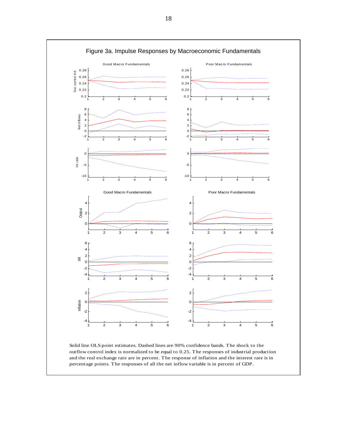

outflow control index is normalized to be equal to 0.25. The responses of industrial production and the real exchange rate are in percent. The response of inflation and the interest rate is in percentage points. The responses of all the net inflow variable is in percent of GDP.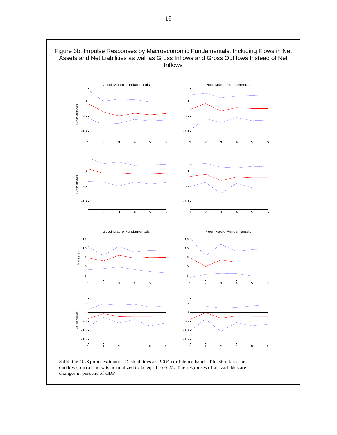

changes in percent of GDP.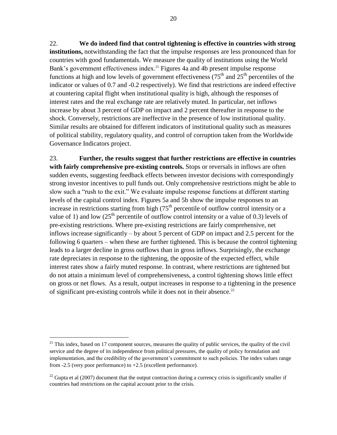22. **We do indeed find that control tightening is effective in countries with strong institutions,** notwithstanding the fact that the impulse responses are less pronounced than for countries with good fundamentals. We measure the quality of institutions using the World Bank's government effectiveness index.<sup>21</sup> Figures 4a and 4b present impulse response functions at high and low levels of government effectiveness  $(75<sup>th</sup>$  and  $25<sup>th</sup>$  percentiles of the indicator or values of 0.7 and -0.2 respectively). We find that restrictions are indeed effective at countering capital flight when institutional quality is high, although the responses of interest rates and the real exchange rate are relatively muted. In particular, net inflows increase by about 3 percent of GDP on impact and 2 percent thereafter in response to the shock. Conversely, restrictions are ineffective in the presence of low institutional quality. Similar results are obtained for different indicators of institutional quality such as measures of political stability, regulatory quality, and control of corruption taken from the Worldwide Governance Indicators project.

23. **Further, the results suggest that further restrictions are effective in countries with fairly comprehensive pre-existing controls.** Stops or reversals in inflows are often sudden events, suggesting feedback effects between investor decisions with correspondingly strong investor incentives to pull funds out. Only comprehensive restrictions might be able to slow such a "rush to the exit." We evaluate impulse response functions at different starting levels of the capital control index. Figures 5a and 5b show the impulse responses to an increase in restrictions starting from high  $(75<sup>th</sup>$  percentile of outflow control intensity or a value of 1) and low  $(25<sup>th</sup>$  percentile of outflow control intensity or a value of 0.3) levels of pre-existing restrictions. Where pre-existing restrictions are fairly comprehensive, net inflows increase significantly – by about 5 percent of GDP on impact and 2.5 percent for the following 6 quarters – when these are further tightened. This is because the control tightening leads to a larger decline in gross outflows than in gross inflows. Surprisingly, the exchange rate depreciates in response to the tightening, the opposite of the expected effect, while interest rates show a fairly muted response. In contrast, where restrictions are tightened but do not attain a minimum level of comprehensiveness, a control tightening shows little effect on gross or net flows. As a result, output increases in response to a tightening in the presence of significant pre-existing controls while it does not in their absence.<sup>22</sup>

 $21$  This index, based on 17 component sources, measures the quality of public services, the quality of the civil service and the degree of its independence from political pressures, the quality of policy formulation and implementation, and the credibility of the government's commitment to such policies. The index values range from -2.5 (very poor performance) to +2.5 (excellent performance).

<sup>&</sup>lt;sup>22</sup> Gupta et al (2007) document that the output contraction during a currency crisis is significantly smaller if countries had restrictions on the capital account prior to the crisis.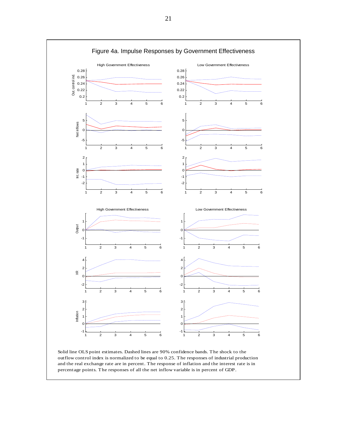

Solid line OLS point estimates. Dashed lines are 90% confidence bands. The shock to the outflow control index is normalized to be equal to 0.25. The responses of industrial production and the real exchange rate are in percent. The response of inflation and the interest rate is in percentage points. The responses of all the net inflow variable is in percent of GDP.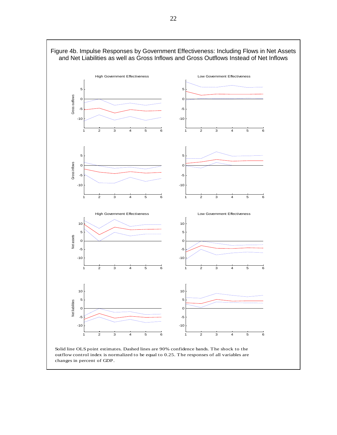

changes in percent of GDP.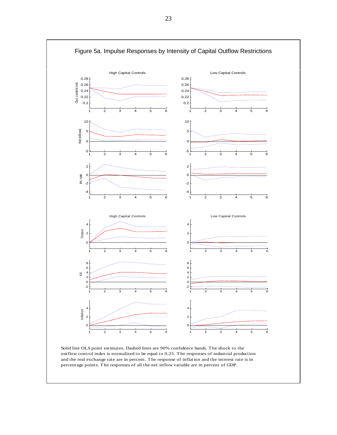

Solid line OLS point estimates. Dashed lines are 90% confidence bands. The shock to the outflow control index is normalized to be equal to 0.25. The responses of industrial production and the real exchange rate are in percent. The response of inflation and the interest rate is in percentage points. The responses of all the net inflow variable are in percent of GDP.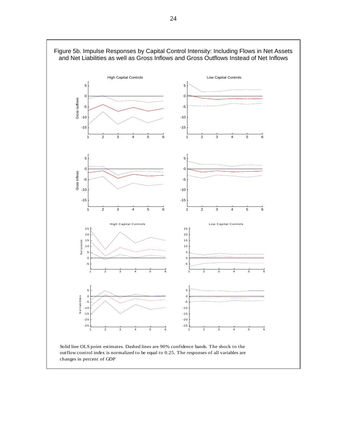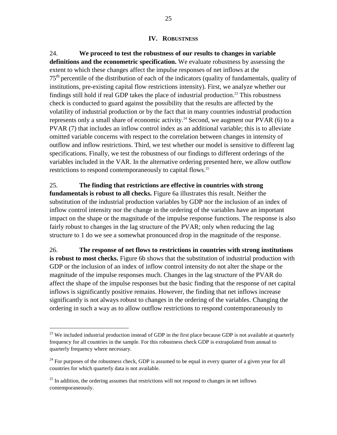## **IV. ROBUSTNESS**

24. **We proceed to test the robustness of our results to changes in variable definitions and the econometric specification.** We evaluate robustness by assessing the extent to which these changes affect the impulse responses of net inflows at the 75<sup>th</sup> percentile of the distribution of each of the indicators (quality of fundamentals, quality of institutions, pre-existing capital flow restrictions intensity). First, we analyze whether our findings still hold if real GDP takes the place of industrial production. <sup>23</sup> This robustness check is conducted to guard against the possibility that the results are affected by the volatility of industrial production or by the fact that in many countries industrial production represents only a small share of economic activity.<sup>24</sup> Second, we augment our PVAR (6) to a PVAR (7) that includes an inflow control index as an additional variable; this is to alleviate omitted variable concerns with respect to the correlation between changes in intensity of outflow and inflow restrictions. Third, we test whether our model is sensitive to different lag specifications. Finally, we test the robustness of our findings to different orderings of the variables included in the VAR. In the alternative ordering presented here, we allow outflow restrictions to respond contemporaneously to capital flows.<sup>25</sup>

# 25. **The finding that restrictions are effective in countries with strong**

**fundamentals is robust to all checks.** Figure 6a illustrates this result. Neither the substitution of the industrial production variables by GDP nor the inclusion of an index of inflow control intensity nor the change in the ordering of the variables have an important impact on the shape or the magnitude of the impulse response functions. The response is also fairly robust to changes in the lag structure of the PVAR; only when reducing the lag structure to 1 do we see a somewhat pronounced drop in the magnitude of the response.

26. **The response of net flows to restrictions in countries with strong institutions is robust to most checks.** Figure 6b shows that the substitution of industrial production with GDP or the inclusion of an index of inflow control intensity do not alter the shape or the magnitude of the impulse responses much. Changes in the lag structure of the PVAR do affect the shape of the impulse responses but the basic finding that the response of net capital inflows is significantly positive remains. However, the finding that net inflows increase significantly is not always robust to changes in the ordering of the variables. Changing the ordering in such a way as to allow outflow restrictions to respond contemporaneously to

 $23$  We included industrial production instead of GDP in the first place because GDP is not available at quarterly frequency for all countries in the sample. For this robustness check GDP is extrapolated from annual to quarterly frequency where necessary.

 $^{24}$  For purposes of the robustness check, GDP is assumed to be equal in every quarter of a given year for all countries for which quarterly data is not available.

 $25$  In addition, the ordering assumes that restrictions will not respond to changes in net inflows contemporaneously.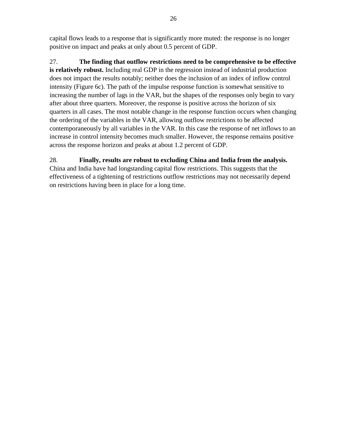capital flows leads to a response that is significantly more muted: the response is no longer positive on impact and peaks at only about 0.5 percent of GDP.

27. **The finding that outflow restrictions need to be comprehensive to be effective is relatively robust.** Including real GDP in the regression instead of industrial production does not impact the results notably; neither does the inclusion of an index of inflow control intensity (Figure 6c). The path of the impulse response function is somewhat sensitive to increasing the number of lags in the VAR, but the shapes of the responses only begin to vary after about three quarters. Moreover, the response is positive across the horizon of six quarters in all cases. The most notable change in the response function occurs when changing the ordering of the variables in the VAR, allowing outflow restrictions to be affected contemporaneously by all variables in the VAR. In this case the response of net inflows to an increase in control intensity becomes much smaller. However, the response remains positive across the response horizon and peaks at about 1.2 percent of GDP.

# 28. **Finally, results are robust to excluding China and India from the analysis.**

China and India have had longstanding capital flow restrictions. This suggests that the effectiveness of a tightening of restrictions outflow restrictions may not necessarily depend on restrictions having been in place for a long time.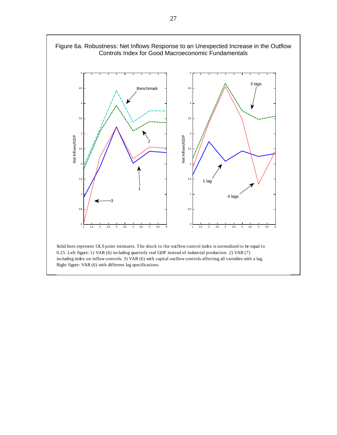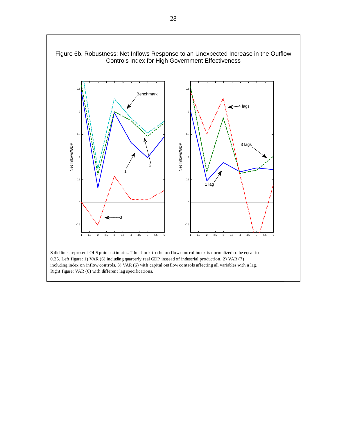

Solid lines represent OLS point estimates. The shock to the outflow control index is normalized to be equal to 0.25. Left figure: 1) VAR (6) including quarterly real GDP instead of industrial production. 2) VAR (7) including index on inflow controls. 3) VAR (6) with capital outflow controls affecting all variables with a lag. Right figure: VAR (6) with different lag specifications.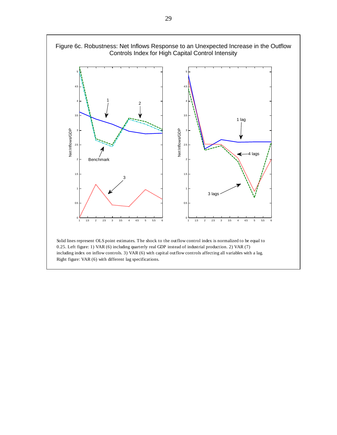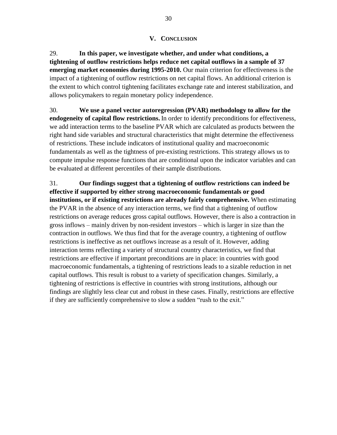# **V. CONCLUSION**

29. **In this paper, we investigate whether, and under what conditions, a tightening of outflow restrictions helps reduce net capital outflows in a sample of 37 emerging market economies during 1995-2010.** Our main criterion for effectiveness is the impact of a tightening of outflow restrictions on net capital flows. An additional criterion is the extent to which control tightening facilitates exchange rate and interest stabilization, and allows policymakers to regain monetary policy independence.

30. **We use a panel vector autoregression (PVAR) methodology to allow for the endogeneity of capital flow restrictions.** In order to identify preconditions for effectiveness, we add interaction terms to the baseline PVAR which are calculated as products between the right hand side variables and structural characteristics that might determine the effectiveness of restrictions. These include indicators of institutional quality and macroeconomic fundamentals as well as the tightness of pre-existing restrictions. This strategy allows us to compute impulse response functions that are conditional upon the indicator variables and can be evaluated at different percentiles of their sample distributions.

31. **Our findings suggest that a tightening of outflow restrictions can indeed be effective if supported by either strong macroeconomic fundamentals or good institutions, or if existing restrictions are already fairly comprehensive.** When estimating the PVAR in the absence of any interaction terms, we find that a tightening of outflow restrictions on average reduces gross capital outflows. However, there is also a contraction in gross inflows – mainly driven by non-resident investors – which is larger in size than the contraction in outflows. We thus find that for the average country, a tightening of outflow restrictions is ineffective as net outflows increase as a result of it. However, adding interaction terms reflecting a variety of structural country characteristics, we find that restrictions are effective if important preconditions are in place: in countries with good macroeconomic fundamentals, a tightening of restrictions leads to a sizable reduction in net capital outflows. This result is robust to a variety of specification changes. Similarly, a tightening of restrictions is effective in countries with strong institutions, although our findings are slightly less clear cut and robust in these cases. Finally, restrictions are effective if they are sufficiently comprehensive to slow a sudden "rush to the exit."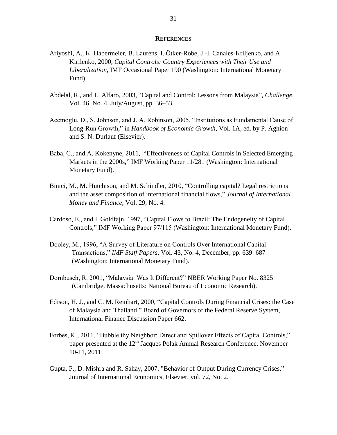#### **REFERENCES**

- Ariyoshi, A., K. Habermeier, B. Laurens, I. Ötker-Robe, J.-I. Canales-Kriljenko, and A. Kirilenko, 2000, *Capital Controls: Country Experiences with Their Use and Liberalization*, IMF Occasional Paper 190 (Washington: International Monetary Fund).
- Abdelal, R., and L. Alfaro, 2003*,* "Capital and Control: Lessons from Malaysia"*, Challenge*, Vol. 46, No. 4, July/August, pp. 36–53.
- Acemoglu, D., S. Johnson, and J. A. Robinson, 2005, "Institutions as Fundamental Cause of Long-Run Growth," in *Handbook of Economic Growth,* Vol. 1A, ed. by P. Aghion and S. N. Durlauf (Elsevier).
- Baba, C., and A. Kokenyne, 2011, "Effectiveness of Capital Controls in Selected Emerging Markets in the 2000s," IMF Working Paper 11/281 (Washington: International Monetary Fund).
- Binici, M., M. Hutchison, and M. Schindler, 2010, "Controlling capital? Legal restrictions and the asset composition of international financial flows," *Journal of International Money and Finance*, Vol. 29, No. 4.
- Cardoso, E., and I. Goldfajn, 1997, "Capital Flows to Brazil: The Endogeneity of Capital Controls," IMF Working Paper 97/115 (Washington: International Monetary Fund).
- Dooley, M., 1996, "A Survey of Literature on Controls Over International Capital Transactions," *IMF Staff Papers*, Vol. 43, No. 4, December, pp. 639–687 (Washington: International Monetary Fund).
- Dornbusch, R. 2001, "Malaysia: Was It Different?" NBER Working Paper No. 8325 (Cambridge, Massachusetts: National Bureau of Economic Research).
- Edison, H. J., and C. M. Reinhart, 2000, "Capital Controls During Financial Crises: the Case of Malaysia and Thailand," Board of Governors of the Federal Reserve System, International Finance Discussion Paper 662.
- Forbes, K., 2011, "Bubble thy Neighbor: Direct and Spillover Effects of Capital Controls," paper presented at the  $12<sup>th</sup>$  Jacques Polak Annual Research Conference, November 10-11, 2011.
- Gupta, P., D. Mishra and R. Sahay, 2007. ["Behavior of Output During Currency Crises,](http://ideas.repec.org/a/eee/inecon/v72y2007i2p428-450.html)" [Journal of International Economics,](http://ideas.repec.org/s/eee/inecon.html) Elsevier, vol. 72, No. 2.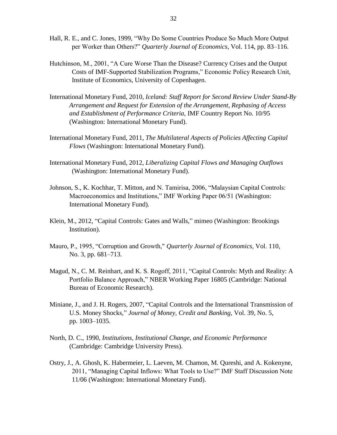- Hall, R. E., and C. Jones, 1999, "Why Do Some Countries Produce So Much More Output per Worker than Others?" *Quarterly Journal of Economics*, Vol. 114, pp. 83–116.
- Hutchinson, M., 2001, "A Cure Worse Than the Disease? Currency Crises and the Output Costs of IMF-Supported Stabilization Programs," Economic Policy Research Unit, Institute of Economics, University of Copenhagen.
- International Monetary Fund, 2010, *Iceland: Staff Report for Second Review Under Stand-By Arrangement and Request for Extension of the Arrangement, Rephasing of Access and Establishment of Performance Criteria*, IMF Country Report No. 10/95 (Washington: International Monetary Fund).
- International Monetary Fund, 2011, *The Multilateral Aspects of Policies Affecting Capital Flows* (Washington: International Monetary Fund).
- International Monetary Fund, 2012, *Liberalizing Capital Flows and Managing Outflows* (Washington: International Monetary Fund).
- Johnson, S., K. Kochhar, T. Mitton, and N. Tamirisa, 2006, "Malaysian Capital Controls: Macroeconomics and Institutions," IMF Working Paper 06/51 (Washington: International Monetary Fund).
- Klein, M., 2012, "Capital Controls: Gates and Walls," mimeo (Washington: Brookings Institution).
- Mauro, P., 1995, "Corruption and Growth," *Quarterly Journal of Economics*, Vol. 110, No. 3, pp. 681–713.
- Magud, N., C. M. Reinhart, and K. S. Rogoff, 2011, "Capital Controls: Myth and Reality: A Portfolio Balance Approach," NBER Working Paper 16805 (Cambridge: National Bureau of Economic Research).
- Miniane, J., and J. H. Rogers, 2007, "Capital Controls and the International Transmission of U.S. Money Shocks," *Journal of Money, Credit and Banking*, Vol. 39, No. 5, pp. 1003–1035.
- North, D. C., 1990, *Institutions, Institutional Change, and Economic Performance* (Cambridge: Cambridge University Press).
- Ostry, J., A. Ghosh, K. Habermeier, L. Laeven, M. Chamon, M. Qureshi, and A. Kokenyne, 2011, "Managing Capital Inflows: What Tools to Use?" IMF Staff Discussion Note 11/06 (Washington: International Monetary Fund).